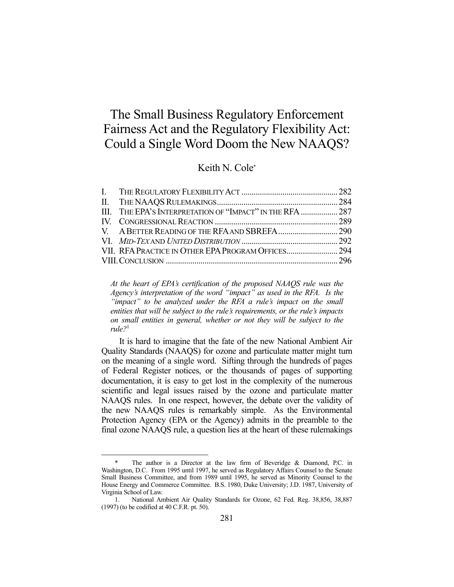# The Small Business Regulatory Enforcement Fairness Act and the Regulatory Flexibility Act: Could a Single Word Doom the New NAAQS?

## Keith N. Cole\*

| III. THE EPA'S INTERPRETATION OF "IMPACT" IN THE RFA  287 |  |
|-----------------------------------------------------------|--|
|                                                           |  |
|                                                           |  |
|                                                           |  |
|                                                           |  |
|                                                           |  |
|                                                           |  |

*At the heart of EPA's certification of the proposed NAAQS rule was the Agency's interpretation of the word "impact" as used in the RFA. Is the "impact" to be analyzed under the RFA a rule's impact on the small entities that will be subject to the rule's requirements, or the rule's impacts on small entities in general, whether or not they will be subject to the rule?*<sup>1</sup>

 It is hard to imagine that the fate of the new National Ambient Air Quality Standards (NAAQS) for ozone and particulate matter might turn on the meaning of a single word. Sifting through the hundreds of pages of Federal Register notices, or the thousands of pages of supporting documentation, it is easy to get lost in the complexity of the numerous scientific and legal issues raised by the ozone and particulate matter NAAQS rules. In one respect, however, the debate over the validity of the new NAAQS rules is remarkably simple. As the Environmental Protection Agency (EPA or the Agency) admits in the preamble to the final ozone NAAQS rule, a question lies at the heart of these rulemakings

 <sup>\*</sup> The author is a Director at the law firm of Beveridge & Diamond, P.C. in Washington, D.C. From 1995 until 1997, he served as Regulatory Affairs Counsel to the Senate Small Business Committee, and from 1989 until 1995, he served as Minority Counsel to the House Energy and Commerce Committee. B.S. 1980, Duke University; J.D. 1987, University of Virginia School of Law.

 <sup>1.</sup> National Ambient Air Quality Standards for Ozone, 62 Fed. Reg. 38,856, 38,887 (1997) (to be codified at 40 C.F.R. pt. 50).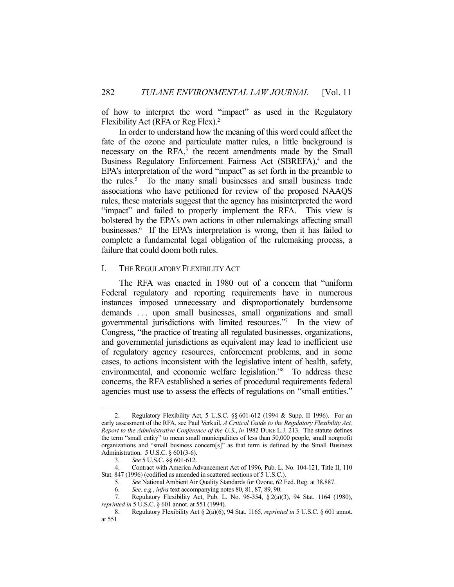of how to interpret the word "impact" as used in the Regulatory Flexibility Act (RFA or Reg Flex).<sup>2</sup>

 In order to understand how the meaning of this word could affect the fate of the ozone and particulate matter rules, a little background is necessary on the RFA,<sup>3</sup> the recent amendments made by the Small Business Regulatory Enforcement Fairness Act (SBREFA),<sup>4</sup> and the EPA's interpretation of the word "impact" as set forth in the preamble to the rules.<sup>5</sup> To the many small businesses and small business trade associations who have petitioned for review of the proposed NAAQS rules, these materials suggest that the agency has misinterpreted the word "impact" and failed to properly implement the RFA. This view is bolstered by the EPA's own actions in other rulemakings affecting small businesses.6 If the EPA's interpretation is wrong, then it has failed to complete a fundamental legal obligation of the rulemaking process, a failure that could doom both rules.

## I. THE REGULATORY FLEXIBILITY ACT

 The RFA was enacted in 1980 out of a concern that "uniform Federal regulatory and reporting requirements have in numerous instances imposed unnecessary and disproportionately burdensome demands ... upon small businesses, small organizations and small governmental jurisdictions with limited resources."7 In the view of Congress, "the practice of treating all regulated businesses, organizations, and governmental jurisdictions as equivalent may lead to inefficient use of regulatory agency resources, enforcement problems, and in some cases, to actions inconsistent with the legislative intent of health, safety, environmental, and economic welfare legislation."8 To address these concerns, the RFA established a series of procedural requirements federal agencies must use to assess the effects of regulations on "small entities."

 <sup>2.</sup> Regulatory Flexibility Act, 5 U.S.C. §§ 601-612 (1994 & Supp. II 1996). For an early assessment of the RFA, see Paul Verkuil, *A Critical Guide to the Regulatory Flexibility Act, Report to the Administrative Conference of the U.S.*, *in* 1982 DUKE L.J. 213. The statute defines the term "small entity" to mean small municipalities of less than 50,000 people, small nonprofit organizations and "small business concern[s]" as that term is defined by the Small Business Administration. 5 U.S.C. § 601(3-6).

 <sup>3.</sup> *See* 5 U.S.C. §§ 601-612.

 <sup>4.</sup> Contract with America Advancement Act of 1996, Pub. L. No. 104-121, Title II, 110 Stat. 847 (1996) (codified as amended in scattered sections of 5 U.S.C.).

 <sup>5.</sup> *See* National Ambient Air Quality Standards for Ozone, 62 Fed. Reg. at 38,887.

 <sup>6.</sup> *See, e.g.*, *infra* text accompanying notes 80, 81, 87, 89, 90.

 <sup>7.</sup> Regulatory Flexibility Act, Pub. L. No. 96-354, § 2(a)(3), 94 Stat. 1164 (1980), *reprinted in* 5 U.S.C. § 601 annot. at 551 (1994).

 <sup>8.</sup> Regulatory Flexibility Act § 2(a)(6), 94 Stat. 1165, *reprinted in* 5 U.S.C. § 601 annot. at 551.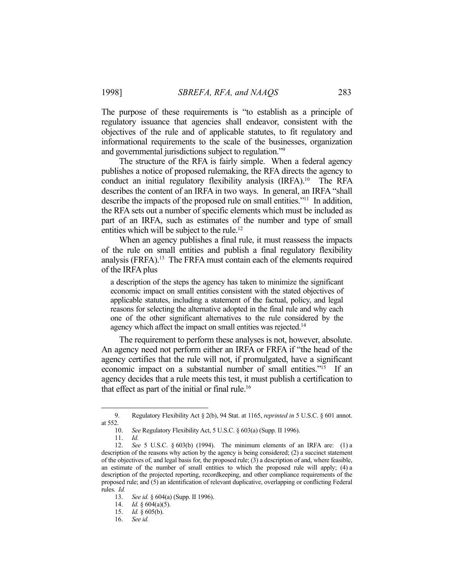The purpose of these requirements is "to establish as a principle of regulatory issuance that agencies shall endeavor, consistent with the objectives of the rule and of applicable statutes, to fit regulatory and informational requirements to the scale of the businesses, organization and governmental jurisdictions subject to regulation."9

 The structure of the RFA is fairly simple. When a federal agency publishes a notice of proposed rulemaking, the RFA directs the agency to conduct an initial regulatory flexibility analysis (IRFA).10 The RFA describes the content of an IRFA in two ways. In general, an IRFA "shall describe the impacts of the proposed rule on small entities."11 In addition, the RFA sets out a number of specific elements which must be included as part of an IRFA, such as estimates of the number and type of small entities which will be subject to the rule.<sup>12</sup>

 When an agency publishes a final rule, it must reassess the impacts of the rule on small entities and publish a final regulatory flexibility analysis (FRFA).<sup>13</sup> The FRFA must contain each of the elements required of the IRFA plus

a description of the steps the agency has taken to minimize the significant economic impact on small entities consistent with the stated objectives of applicable statutes, including a statement of the factual, policy, and legal reasons for selecting the alternative adopted in the final rule and why each one of the other significant alternatives to the rule considered by the agency which affect the impact on small entities was rejected.<sup>14</sup>

 The requirement to perform these analyses is not, however, absolute. An agency need not perform either an IRFA or FRFA if "the head of the agency certifies that the rule will not, if promulgated, have a significant economic impact on a substantial number of small entities."<sup>15</sup> If an agency decides that a rule meets this test, it must publish a certification to that effect as part of the initial or final rule.16

 <sup>9.</sup> Regulatory Flexibility Act § 2(b), 94 Stat. at 1165, *reprinted in* 5 U.S.C. § 601 annot. at 552.

 <sup>10.</sup> *See* Regulatory Flexibility Act, 5 U.S.C. § 603(a) (Supp. II 1996).

 <sup>11.</sup> *Id.*

 <sup>12.</sup> *See* 5 U.S.C. § 603(b) (1994). The minimum elements of an IRFA are: (1) a description of the reasons why action by the agency is being considered; (2) a succinct statement of the objectives of, and legal basis for, the proposed rule; (3) a description of and, where feasible, an estimate of the number of small entities to which the proposed rule will apply; (4) a description of the projected reporting, recordkeeping, and other compliance requirements of the proposed rule; and (5) an identification of relevant duplicative, overlapping or conflicting Federal rules. *Id.*

 <sup>13.</sup> *See id.* § 604(a) (Supp. II 1996).

<sup>14.</sup> *Id.*  $\frac{1}{9}$  604(a)(5).

 <sup>15.</sup> *Id.* § 605(b).

 <sup>16.</sup> *See id.*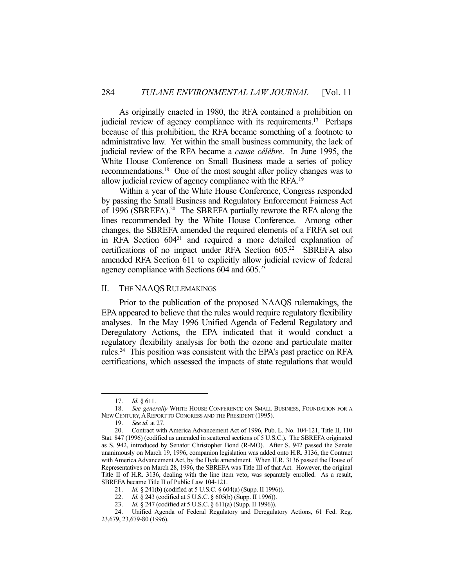As originally enacted in 1980, the RFA contained a prohibition on judicial review of agency compliance with its requirements.<sup>17</sup> Perhaps because of this prohibition, the RFA became something of a footnote to administrative law. Yet within the small business community, the lack of judicial review of the RFA became a *cause célèbre*. In June 1995, the White House Conference on Small Business made a series of policy recommendations.18 One of the most sought after policy changes was to allow judicial review of agency compliance with the RFA.19

 Within a year of the White House Conference, Congress responded by passing the Small Business and Regulatory Enforcement Fairness Act of 1996 (SBREFA).20 The SBREFA partially rewrote the RFA along the lines recommended by the White House Conference. Among other changes, the SBREFA amended the required elements of a FRFA set out in RFA Section 60421 and required a more detailed explanation of certifications of no impact under RFA Section 605.<sup>22</sup> SBREFA also amended RFA Section 611 to explicitly allow judicial review of federal agency compliance with Sections 604 and 605.23

#### II. THE NAAQS RULEMAKINGS

 Prior to the publication of the proposed NAAQS rulemakings, the EPA appeared to believe that the rules would require regulatory flexibility analyses. In the May 1996 Unified Agenda of Federal Regulatory and Deregulatory Actions, the EPA indicated that it would conduct a regulatory flexibility analysis for both the ozone and particulate matter rules.<sup>24</sup> This position was consistent with the EPA's past practice on RFA certifications, which assessed the impacts of state regulations that would

 <sup>17.</sup> *Id.* § 611.

 <sup>18.</sup> *See generally* WHITE HOUSE CONFERENCE ON SMALL BUSINESS, FOUNDATION FOR A NEW CENTURY,AREPORT TO CONGRESS AND THE PRESIDENT (1995).

 <sup>19.</sup> *See id.* at 27.

 <sup>20.</sup> Contract with America Advancement Act of 1996, Pub. L. No. 104-121, Title II, 110 Stat. 847 (1996) (codified as amended in scattered sections of 5 U.S.C.). The SBREFA originated as S. 942, introduced by Senator Christopher Bond (R-MO). After S. 942 passed the Senate unanimously on March 19, 1996, companion legislation was added onto H.R. 3136, the Contract with America Advancement Act, by the Hyde amendment. When H.R. 3136 passed the House of Representatives on March 28, 1996, the SBREFA was Title III of that Act. However, the original Title II of H.R. 3136, dealing with the line item veto, was separately enrolled. As a result, SBREFA became Title II of Public Law 104-121.

 <sup>21.</sup> *Id.* § 241(b) (codified at 5 U.S.C. § 604(a) (Supp. II 1996)).

 <sup>22.</sup> *Id.* § 243 (codified at 5 U.S.C. § 605(b) (Supp. II 1996)).

 <sup>23.</sup> *Id.* § 247 (codified at 5 U.S.C. § 611(a) (Supp. II 1996)).

 <sup>24.</sup> Unified Agenda of Federal Regulatory and Deregulatory Actions, 61 Fed. Reg. 23,679, 23,679-80 (1996).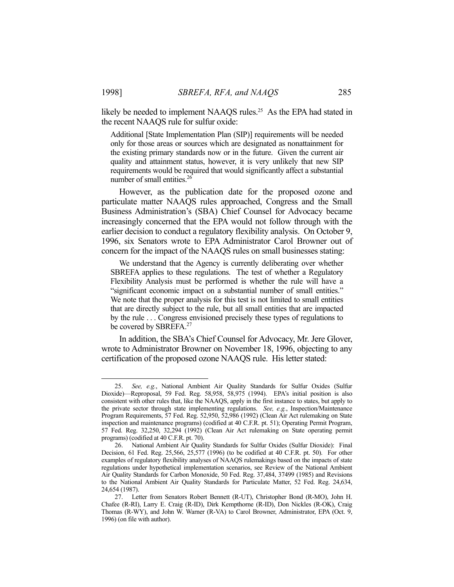likely be needed to implement NAAQS rules.<sup>25</sup> As the EPA had stated in the recent NAAQS rule for sulfur oxide:

Additional [State Implementation Plan (SIP)] requirements will be needed only for those areas or sources which are designated as nonattainment for the existing primary standards now or in the future. Given the current air quality and attainment status, however, it is very unlikely that new SIP requirements would be required that would significantly affect a substantial number of small entities.26

 However, as the publication date for the proposed ozone and particulate matter NAAQS rules approached, Congress and the Small Business Administration's (SBA) Chief Counsel for Advocacy became increasingly concerned that the EPA would not follow through with the earlier decision to conduct a regulatory flexibility analysis. On October 9, 1996, six Senators wrote to EPA Administrator Carol Browner out of concern for the impact of the NAAQS rules on small businesses stating:

 We understand that the Agency is currently deliberating over whether SBREFA applies to these regulations. The test of whether a Regulatory Flexibility Analysis must be performed is whether the rule will have a "significant economic impact on a substantial number of small entities." We note that the proper analysis for this test is not limited to small entities that are directly subject to the rule, but all small entities that are impacted by the rule . . . Congress envisioned precisely these types of regulations to be covered by SBREFA.<sup>27</sup>

 In addition, the SBA's Chief Counsel for Advocacy, Mr. Jere Glover, wrote to Administrator Browner on November 18, 1996, objecting to any certification of the proposed ozone NAAQS rule. His letter stated:

 <sup>25.</sup> *See, e.g.*, National Ambient Air Quality Standards for Sulfur Oxides (Sulfur Dioxide)—Reproposal, 59 Fed. Reg. 58,958, 58,975 (1994). EPA's initial position is also consistent with other rules that, like the NAAQS, apply in the first instance to states, but apply to the private sector through state implementing regulations. *See, e.g.*, Inspection/Maintenance Program Requirements, 57 Fed. Reg. 52,950, 52,986 (1992) (Clean Air Act rulemaking on State inspection and maintenance programs) (codified at 40 C.F.R. pt. 51); Operating Permit Program, 57 Fed. Reg. 32,250, 32,294 (1992) (Clean Air Act rulemaking on State operating permit programs) (codified at 40 C.F.R. pt. 70).

 <sup>26.</sup> National Ambient Air Quality Standards for Sulfur Oxides (Sulfur Dioxide): Final Decision, 61 Fed. Reg. 25,566, 25,577 (1996) (to be codified at 40 C.F.R. pt. 50). For other examples of regulatory flexibility analyses of NAAQS rulemakings based on the impacts of state regulations under hypothetical implementation scenarios, see Review of the National Ambient Air Quality Standards for Carbon Monoxide, 50 Fed. Reg. 37,484, 37499 (1985) and Revisions to the National Ambient Air Quality Standards for Particulate Matter, 52 Fed. Reg. 24,634, 24,654 (1987).

 <sup>27.</sup> Letter from Senators Robert Bennett (R-UT), Christopher Bond (R-MO), John H. Chafee (R-RI), Larry E. Craig (R-ID), Dirk Kempthorne (R-ID), Don Nickles (R-OK), Craig Thomas (R-WY), and John W. Warner (R-VA) to Carol Browner, Administrator, EPA (Oct. 9, 1996) (on file with author).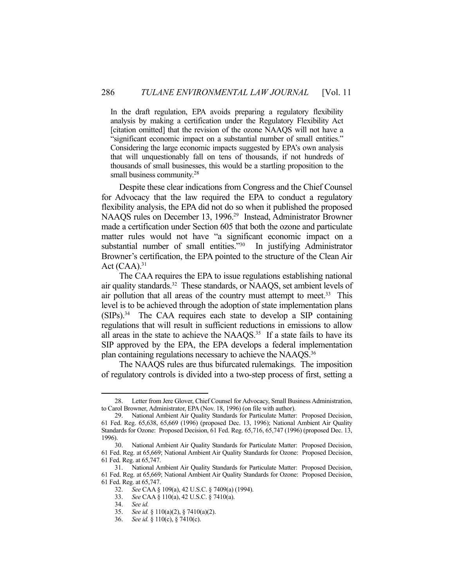In the draft regulation, EPA avoids preparing a regulatory flexibility analysis by making a certification under the Regulatory Flexibility Act [citation omitted] that the revision of the ozone NAAQS will not have a "significant economic impact on a substantial number of small entities." Considering the large economic impacts suggested by EPA's own analysis that will unquestionably fall on tens of thousands, if not hundreds of thousands of small businesses, this would be a startling proposition to the small business community.<sup>28</sup>

 Despite these clear indications from Congress and the Chief Counsel for Advocacy that the law required the EPA to conduct a regulatory flexibility analysis, the EPA did not do so when it published the proposed NAAQS rules on December 13, 1996.<sup>29</sup> Instead, Administrator Browner made a certification under Section 605 that both the ozone and particulate matter rules would not have "a significant economic impact on a substantial number of small entities."<sup>30</sup> In justifying Administrator Browner's certification, the EPA pointed to the structure of the Clean Air Act  $(CAA)^{31}$ 

 The CAA requires the EPA to issue regulations establishing national air quality standards.<sup>32</sup> These standards, or NAAQS, set ambient levels of air pollution that all areas of the country must attempt to meet.<sup>33</sup> This level is to be achieved through the adoption of state implementation plans  $(SIPs).<sup>34</sup>$  The CAA requires each state to develop a SIP containing regulations that will result in sufficient reductions in emissions to allow all areas in the state to achieve the NAAQS.<sup>35</sup> If a state fails to have its SIP approved by the EPA, the EPA develops a federal implementation plan containing regulations necessary to achieve the NAAQS.<sup>36</sup>

 The NAAQS rules are thus bifurcated rulemakings. The imposition of regulatory controls is divided into a two-step process of first, setting a

 <sup>28.</sup> Letter from Jere Glover, Chief Counsel for Advocacy, Small Business Administration, to Carol Browner, Administrator, EPA (Nov. 18, 1996) (on file with author).

 <sup>29.</sup> National Ambient Air Quality Standards for Particulate Matter: Proposed Decision, 61 Fed. Reg. 65,638, 65,669 (1996) (proposed Dec. 13, 1996); National Ambient Air Quality Standards for Ozone: Proposed Decision, 61 Fed. Reg. 65,716, 65,747 (1996) (proposed Dec. 13, 1996).

 <sup>30.</sup> National Ambient Air Quality Standards for Particulate Matter: Proposed Decision, 61 Fed. Reg. at 65,669; National Ambient Air Quality Standards for Ozone: Proposed Decision, 61 Fed. Reg. at 65,747.

 <sup>31.</sup> National Ambient Air Quality Standards for Particulate Matter: Proposed Decision, 61 Fed. Reg. at 65,669; National Ambient Air Quality Standards for Ozone: Proposed Decision, 61 Fed. Reg. at 65,747.

<sup>32.</sup> *See* CAA § 109(a), 42 U.S.C. § 7409(a) (1994).<br>33. *See* CAA § 110(a), 42 U.S.C. § 7410(a).

 <sup>33.</sup> *See* CAA § 110(a), 42 U.S.C. § 7410(a).

 <sup>34.</sup> *See id.*

 <sup>35.</sup> *See id.* § 110(a)(2), § 7410(a)(2).

 <sup>36.</sup> *See id.* § 110(c), § 7410(c).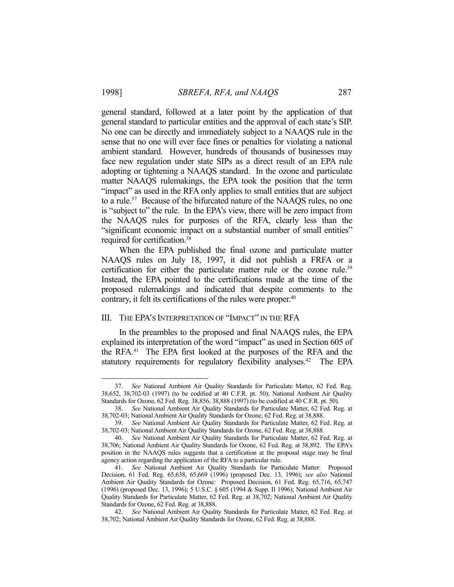general standard, followed at a later point by the application of that general standard to particular entities and the approval of each state's SIP. No one can be directly and immediately subject to a NAAQS rule in the sense that no one will ever face fines or penalties for violating a national ambient standard. However, hundreds of thousands of businesses may face new regulation under state SIPs as a direct result of an EPA rule adopting or tightening a NAAQS standard. In the ozone and particulate matter NAAQS rulemakings, the EPA took the position that the term "impact" as used in the RFA only applies to small entities that are subject to a rule.37 Because of the bifurcated nature of the NAAQS rules, no one is "subject to" the rule. In the EPA's view, there will be zero impact from the NAAQS rules for purposes of the RFA, clearly less than the "significant economic impact on a substantial number of small entities" required for certification.38

 When the EPA published the final ozone and particulate matter NAAQS rules on July 18, 1997, it did not publish a FRFA or a certification for either the particulate matter rule or the ozone rule.<sup>39</sup> Instead, the EPA pointed to the certifications made at the time of the proposed rulemakings and indicated that despite comments to the contrary, it felt its certifications of the rules were proper.<sup>40</sup>

## III. THE EPA'S INTERPRETATION OF "IMPACT" IN THE RFA

 In the preambles to the proposed and final NAAQS rules, the EPA explained its interpretation of the word "impact" as used in Section 605 of the RFA.41 The EPA first looked at the purposes of the RFA and the statutory requirements for regulatory flexibility analyses.<sup>42</sup> The EPA

 <sup>37.</sup> *See* National Ambient Air Quality Standards for Particulate Matter, 62 Fed. Reg. 38,652, 38,702-03 (1997) (to be codified at 40 C.F.R. pt. 50); National Ambient Air Quality Standards for Ozone, 62 Fed. Reg. 38,856, 38,888 (1997) (to be codified at 40 C.F.R. pt. 50).

 <sup>38.</sup> *See* National Ambient Air Quality Standards for Particulate Matter, 62 Fed. Reg. at 38,702-03; National Ambient Air Quality Standards for Ozone, 62 Fed. Reg. at 38,888.

 <sup>39.</sup> *See* National Ambient Air Quality Standards for Particulate Matter, 62 Fed. Reg. at 38,702-03; National Ambient Air Quality Standards for Ozone, 62 Fed. Reg. at 38,888.

 <sup>40.</sup> *See* National Ambient Air Quality Standards for Particulate Matter, 62 Fed. Reg. at 38,706; National Ambient Air Quality Standards for Ozone, 62 Fed. Reg. at 38,892. The EPA's position in the NAAQS rules suggests that a certification at the proposal stage may be final agency action regarding the application of the RFA to a particular rule.

 <sup>41.</sup> *See* National Ambient Air Quality Standards for Particulate Matter: Proposed Decision, 61 Fed. Reg. 65,638, 65,669 (1996) (proposed Dec. 13, 1996); *see also* National Ambient Air Quality Standards for Ozone: Proposed Decision, 61 Fed. Reg. 65,716, 65,747 (1996) (proposed Dec. 13, 1996); 5 U.S.C. § 605 (1994 & Supp. II 1996); National Ambient Air Quality Standards for Particulate Matter, 62 Fed. Reg. at 38,702; National Ambient Air Quality Standards for Ozone, 62 Fed. Reg. at 38,888.

 <sup>42.</sup> *See* National Ambient Air Quality Standards for Particulate Matter, 62 Fed. Reg. at 38,702; National Ambient Air Quality Standards for Ozone, 62 Fed. Reg. at 38,888.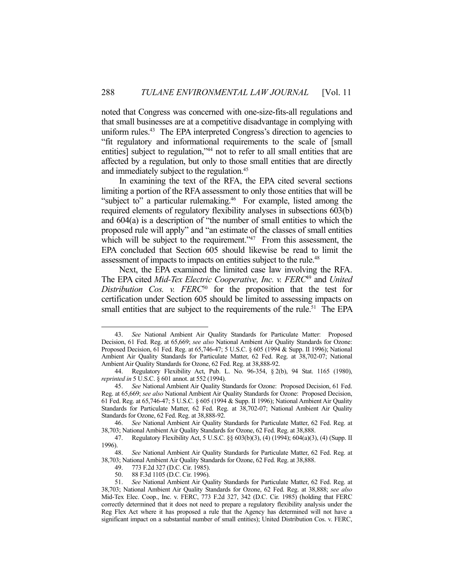noted that Congress was concerned with one-size-fits-all regulations and that small businesses are at a competitive disadvantage in complying with uniform rules.<sup>43</sup> The EPA interpreted Congress's direction to agencies to "fit regulatory and informational requirements to the scale of [small entities] subject to regulation,"<sup>44</sup> not to refer to all small entities that are affected by a regulation, but only to those small entities that are directly and immediately subject to the regulation.<sup>45</sup>

 In examining the text of the RFA, the EPA cited several sections limiting a portion of the RFA assessment to only those entities that will be "subject to" a particular rulemaking.<sup>46</sup> For example, listed among the required elements of regulatory flexibility analyses in subsections 603(b) and 604(a) is a description of "the number of small entities to which the proposed rule will apply" and "an estimate of the classes of small entities which will be subject to the requirement."<sup>47</sup> From this assessment, the EPA concluded that Section 605 should likewise be read to limit the assessment of impacts to impacts on entities subject to the rule.<sup>48</sup>

 Next, the EPA examined the limited case law involving the RFA. The EPA cited *Mid-Tex Electric Cooperative, Inc. v. FERC<sup>49</sup> and United Distribution Cos. v. FERC*50 for the proposition that the test for certification under Section 605 should be limited to assessing impacts on small entities that are subject to the requirements of the rule.<sup>51</sup> The EPA

 <sup>43.</sup> *See* National Ambient Air Quality Standards for Particulate Matter: Proposed Decision, 61 Fed. Reg. at 65,669; *see also* National Ambient Air Quality Standards for Ozone: Proposed Decision, 61 Fed. Reg. at 65,746-47; 5 U.S.C. § 605 (1994 & Supp. II 1996); National Ambient Air Quality Standards for Particulate Matter, 62 Fed. Reg. at 38,702-07; National Ambient Air Quality Standards for Ozone, 62 Fed. Reg. at 38,888-92.

 <sup>44.</sup> Regulatory Flexibility Act, Pub. L. No. 96-354, § 2(b), 94 Stat. 1165 (1980), *reprinted in* 5 U.S.C. § 601 annot. at 552 (1994).

 <sup>45.</sup> *See* National Ambient Air Quality Standards for Ozone: Proposed Decision, 61 Fed. Reg. at 65,669; *see also* National Ambient Air Quality Standards for Ozone: Proposed Decision, 61 Fed. Reg. at 65,746-47; 5 U.S.C. § 605 (1994 & Supp. II 1996); National Ambient Air Quality Standards for Particulate Matter, 62 Fed. Reg. at 38,702-07; National Ambient Air Quality Standards for Ozone, 62 Fed. Reg. at 38,888-92.

 <sup>46.</sup> *See* National Ambient Air Quality Standards for Particulate Matter, 62 Fed. Reg. at 38,703; National Ambient Air Quality Standards for Ozone, 62 Fed. Reg. at 38,888.

 <sup>47.</sup> Regulatory Flexibility Act, 5 U.S.C. §§ 603(b)(3), (4) (1994); 604(a)(3), (4) (Supp. II 1996).

 <sup>48.</sup> *See* National Ambient Air Quality Standards for Particulate Matter, 62 Fed. Reg. at 38,703; National Ambient Air Quality Standards for Ozone, 62 Fed. Reg. at 38,888.

 <sup>49. 773</sup> F.2d 327 (D.C. Cir. 1985).

 <sup>50. 88</sup> F.3d 1105 (D.C. Cir. 1996).

 <sup>51.</sup> *See* National Ambient Air Quality Standards for Particulate Matter, 62 Fed. Reg. at 38,703; National Ambient Air Quality Standards for Ozone, 62 Fed. Reg. at 38,888; *see also* Mid-Tex Elec. Coop., Inc. v. FERC, 773 F.2d 327, 342 (D.C. Cir. 1985) (holding that FERC correctly determined that it does not need to prepare a regulatory flexibility analysis under the Reg Flex Act where it has proposed a rule that the Agency has determined will not have a significant impact on a substantial number of small entities); United Distribution Cos. v. FERC,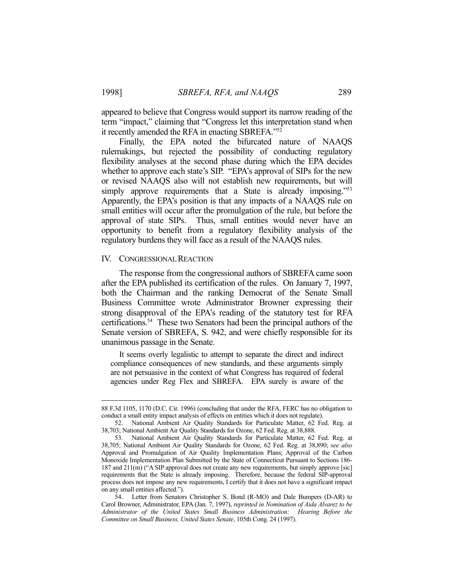appeared to believe that Congress would support its narrow reading of the term "impact," claiming that "Congress let this interpretation stand when it recently amended the RFA in enacting SBREFA."52

 Finally, the EPA noted the bifurcated nature of NAAQS rulemakings, but rejected the possibility of conducting regulatory flexibility analyses at the second phase during which the EPA decides whether to approve each state's SIP. "EPA's approval of SIPs for the new or revised NAAQS also will not establish new requirements, but will simply approve requirements that a State is already imposing."<sup>53</sup> Apparently, the EPA's position is that any impacts of a NAAQS rule on small entities will occur after the promulgation of the rule, but before the approval of state SIPs. Thus, small entities would never have an opportunity to benefit from a regulatory flexibility analysis of the regulatory burdens they will face as a result of the NAAQS rules.

#### IV. CONGRESSIONAL REACTION

 The response from the congressional authors of SBREFA came soon after the EPA published its certification of the rules. On January 7, 1997, both the Chairman and the ranking Democrat of the Senate Small Business Committee wrote Administrator Browner expressing their strong disapproval of the EPA's reading of the statutory test for RFA certifications.54 These two Senators had been the principal authors of the Senate version of SBREFA, S. 942, and were chiefly responsible for its unanimous passage in the Senate.

 It seems overly legalistic to attempt to separate the direct and indirect compliance consequences of new standards, and these arguments simply are not persuasive in the context of what Congress has required of federal agencies under Reg Flex and SBREFA. EPA surely is aware of the

 <sup>88</sup> F.3d 1105, 1170 (D.C. Cir. 1996) (concluding that under the RFA, FERC has no obligation to conduct a small entity impact analysis of effects on entities which it does not regulate).

 <sup>52.</sup> National Ambient Air Quality Standards for Particulate Matter, 62 Fed. Reg. at 38,703; National Ambient Air Quality Standards for Ozone, 62 Fed. Reg. at 38,888.

 <sup>53.</sup> National Ambient Air Quality Standards for Particulate Matter, 62 Fed. Reg. at 38,705; National Ambient Air Quality Standards for Ozone, 62 Fed. Reg. at 38,890; *see also* Approval and Promulgation of Air Quality Implementation Plans; Approval of the Carbon Monoxide Implementation Plan Submitted by the State of Connecticut Pursuant to Sections 186- 187 and 211(m) ("A SIP approval does not create any new requirements, but simply approve [sic] requirements that the State is already imposing. Therefore, because the federal SIP-approval process does not impose any new requirements, I certify that it does not have a significant impact on any small entities affected.").

 <sup>54.</sup> Letter from Senators Christopher S. Bond (R-MO) and Dale Bumpers (D-AR) to Carol Browner, Administrator, EPA (Jan. 7, 1997), *reprinted in Nomination of Aida Alvarez to be Administrator of the United States Small Business Administration: Hearing Before the Committee on Small Business, United States Senate*, 105th Cong. 24 (1997).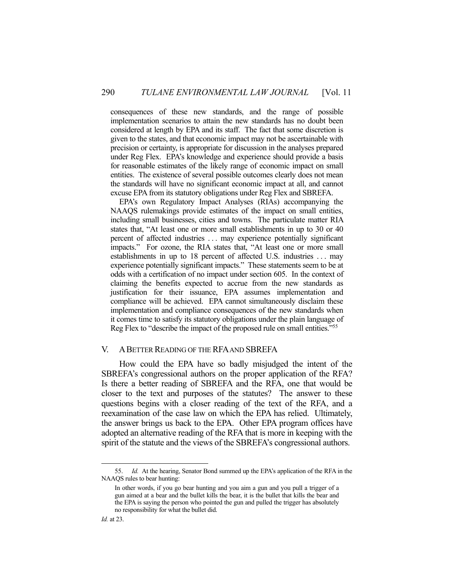consequences of these new standards, and the range of possible implementation scenarios to attain the new standards has no doubt been considered at length by EPA and its staff. The fact that some discretion is given to the states, and that economic impact may not be ascertainable with precision or certainty, is appropriate for discussion in the analyses prepared under Reg Flex. EPA's knowledge and experience should provide a basis for reasonable estimates of the likely range of economic impact on small entities. The existence of several possible outcomes clearly does not mean the standards will have no significant economic impact at all, and cannot excuse EPA from its statutory obligations under Reg Flex and SBREFA.

 EPA's own Regulatory Impact Analyses (RIAs) accompanying the NAAQS rulemakings provide estimates of the impact on small entities, including small businesses, cities and towns. The particulate matter RIA states that, "At least one or more small establishments in up to 30 or 40 percent of affected industries . . . may experience potentially significant impacts." For ozone, the RIA states that, "At least one or more small establishments in up to 18 percent of affected U.S. industries . . . may experience potentially significant impacts." These statements seem to be at odds with a certification of no impact under section 605. In the context of claiming the benefits expected to accrue from the new standards as justification for their issuance, EPA assumes implementation and compliance will be achieved. EPA cannot simultaneously disclaim these implementation and compliance consequences of the new standards when it comes time to satisfy its statutory obligations under the plain language of Reg Flex to "describe the impact of the proposed rule on small entities."55

#### V. ABETTER READING OF THE RFA AND SBREFA

 How could the EPA have so badly misjudged the intent of the SBREFA's congressional authors on the proper application of the RFA? Is there a better reading of SBREFA and the RFA, one that would be closer to the text and purposes of the statutes? The answer to these questions begins with a closer reading of the text of the RFA, and a reexamination of the case law on which the EPA has relied. Ultimately, the answer brings us back to the EPA. Other EPA program offices have adopted an alternative reading of the RFA that is more in keeping with the spirit of the statute and the views of the SBREFA's congressional authors.

 <sup>55.</sup> *Id.* At the hearing, Senator Bond summed up the EPA's application of the RFA in the NAAQS rules to bear hunting:

In other words, if you go bear hunting and you aim a gun and you pull a trigger of a gun aimed at a bear and the bullet kills the bear, it is the bullet that kills the bear and the EPA is saying the person who pointed the gun and pulled the trigger has absolutely no responsibility for what the bullet did.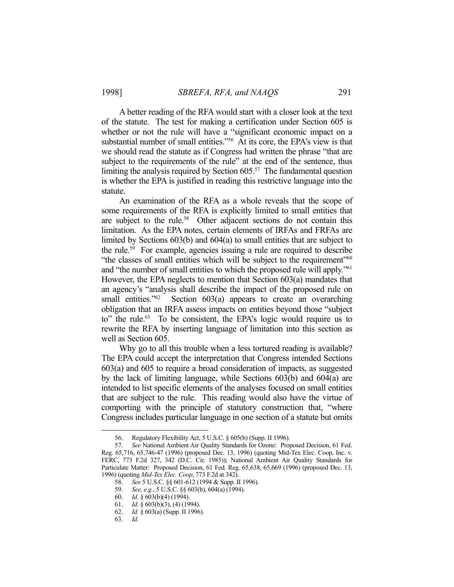A better reading of the RFA would start with a closer look at the text of the statute. The test for making a certification under Section 605 is whether or not the rule will have a "significant economic impact on a substantial number of small entities."56 At its core, the EPA's view is that we should read the statute as if Congress had written the phrase "that are subject to the requirements of the rule" at the end of the sentence, thus limiting the analysis required by Section 605.<sup>57</sup> The fundamental question is whether the EPA is justified in reading this restrictive language into the statute.

 An examination of the RFA as a whole reveals that the scope of some requirements of the RFA is explicitly limited to small entities that are subject to the rule.<sup>58</sup> Other adjacent sections do not contain this limitation. As the EPA notes, certain elements of IRFAs and FRFAs are limited by Sections 603(b) and 604(a) to small entities that are subject to the rule.59 For example, agencies issuing a rule are required to describe "the classes of small entities which will be subject to the requirement"<sup>60</sup> and "the number of small entities to which the proposed rule will apply."61 However, the EPA neglects to mention that Section 603(a) mandates that an agency's "analysis shall describe the impact of the proposed rule on small entities." $62$  Section  $603(a)$  appears to create an overarching obligation that an IRFA assess impacts on entities beyond those "subject to" the rule.<sup>63</sup> To be consistent, the EPA's logic would require us to rewrite the RFA by inserting language of limitation into this section as well as Section 605.

Why go to all this trouble when a less tortured reading is available? The EPA could accept the interpretation that Congress intended Sections 603(a) and 605 to require a broad consideration of impacts, as suggested by the lack of limiting language, while Sections 603(b) and 604(a) are intended to list specific elements of the analyses focused on small entities that are subject to the rule. This reading would also have the virtue of comporting with the principle of statutory construction that, "where Congress includes particular language in one section of a statute but omits

 <sup>56.</sup> Regulatory Flexibility Act, 5 U.S.C. § 605(b) (Supp. II 1996).

 <sup>57.</sup> *See* National Ambient Air Quality Standards for Ozone: Proposed Decision, 61 Fed. Reg. 65,716, 65,746-47 (1996) (proposed Dec. 13, 1996) (quoting Mid-Tex Elec. Coop, Inc. v. FERC, 773 F.2d 327, 342 (D.C. Cir. 1985)); National Ambient Air Quality Standards for Particulate Matter: Proposed Decision, 61 Fed. Reg. 65,638, 65,669 (1996) (proposed Dec. 13, 1996) (quoting *Mid-Tex Elec. Coop*, 773 F.2d at 342).

 <sup>58.</sup> *See* 5 U.S.C. §§ 601-612 (1994 & Supp. II 1996).

 <sup>59.</sup> *See, e.g.*, 5 U.S.C. §§ 603(b), 604(a) (1994).

 <sup>60.</sup> *Id.* § 603(b)(4) (1994).

 <sup>61.</sup> *Id.* § 603(b)(3), (4) (1994).

 <sup>62.</sup> *Id.* § 603(a) (Supp. II 1996).

 <sup>63.</sup> *Id.*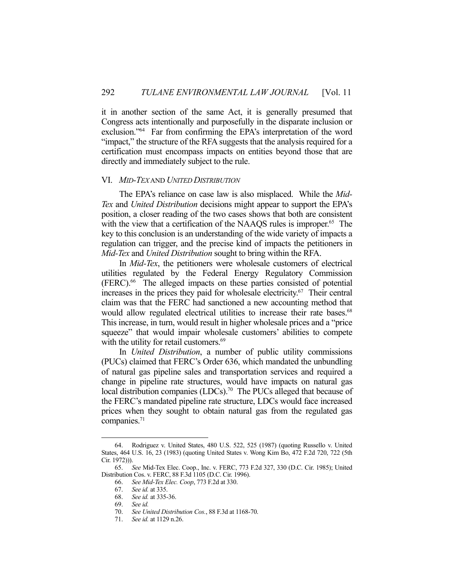it in another section of the same Act, it is generally presumed that Congress acts intentionally and purposefully in the disparate inclusion or exclusion."64 Far from confirming the EPA's interpretation of the word "impact," the structure of the RFA suggests that the analysis required for a certification must encompass impacts on entities beyond those that are directly and immediately subject to the rule.

#### VI. *MID-TEX* AND *UNITED DISTRIBUTION*

 The EPA's reliance on case law is also misplaced. While the *Mid-Tex* and *United Distribution* decisions might appear to support the EPA's position, a closer reading of the two cases shows that both are consistent with the view that a certification of the NAAQS rules is improper.<sup>65</sup> The key to this conclusion is an understanding of the wide variety of impacts a regulation can trigger, and the precise kind of impacts the petitioners in *Mid-Tex* and *United Distribution* sought to bring within the RFA.

 In *Mid-Tex*, the petitioners were wholesale customers of electrical utilities regulated by the Federal Energy Regulatory Commission (FERC).66 The alleged impacts on these parties consisted of potential increases in the prices they paid for wholesale electricity.<sup>67</sup> Their central claim was that the FERC had sanctioned a new accounting method that would allow regulated electrical utilities to increase their rate bases.<sup>68</sup> This increase, in turn, would result in higher wholesale prices and a "price squeeze" that would impair wholesale customers' abilities to compete with the utility for retail customers.<sup>69</sup>

 In *United Distribution*, a number of public utility commissions (PUCs) claimed that FERC's Order 636, which mandated the unbundling of natural gas pipeline sales and transportation services and required a change in pipeline rate structures, would have impacts on natural gas local distribution companies (LDCs).<sup>70</sup> The PUCs alleged that because of the FERC's mandated pipeline rate structure, LDCs would face increased prices when they sought to obtain natural gas from the regulated gas companies.<sup>71</sup>

 <sup>64.</sup> Rodriguez v. United States, 480 U.S. 522, 525 (1987) (quoting Russello v. United States, 464 U.S. 16, 23 (1983) (quoting United States v. Wong Kim Bo, 472 F.2d 720, 722 (5th Cir. 1972))).

 <sup>65.</sup> *See* Mid-Tex Elec. Coop., Inc. v. FERC, 773 F.2d 327, 330 (D.C. Cir. 1985); United Distribution Cos. v. FERC, 88 F.3d 1105 (D.C. Cir. 1996).

 <sup>66.</sup> *See Mid-Tex Elec. Coop*, 773 F.2d at 330.

 <sup>67.</sup> *See id.* at 335.

 <sup>68.</sup> *See id.* at 335-36. 69. *See id.*

 <sup>70.</sup> *See United Distribution Cos.*, 88 F.3d at 1168-70.

 <sup>71.</sup> *See id.* at 1129 n.26.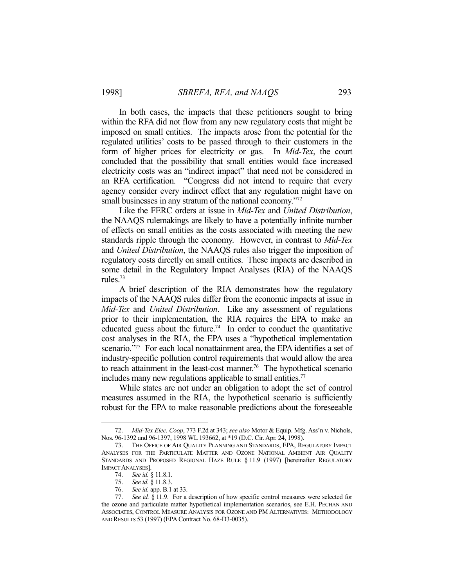In both cases, the impacts that these petitioners sought to bring within the RFA did not flow from any new regulatory costs that might be imposed on small entities. The impacts arose from the potential for the regulated utilities' costs to be passed through to their customers in the form of higher prices for electricity or gas. In *Mid-Tex*, the court concluded that the possibility that small entities would face increased electricity costs was an "indirect impact" that need not be considered in an RFA certification. "Congress did not intend to require that every agency consider every indirect effect that any regulation might have on small businesses in any stratum of the national economy."<sup>72</sup>

 Like the FERC orders at issue in *Mid-Tex* and *United Distribution*, the NAAQS rulemakings are likely to have a potentially infinite number of effects on small entities as the costs associated with meeting the new standards ripple through the economy. However, in contrast to *Mid-Tex* and *United Distribution*, the NAAQS rules also trigger the imposition of regulatory costs directly on small entities. These impacts are described in some detail in the Regulatory Impact Analyses (RIA) of the NAAQS rules.73

 A brief description of the RIA demonstrates how the regulatory impacts of the NAAQS rules differ from the economic impacts at issue in *Mid-Tex* and *United Distribution*. Like any assessment of regulations prior to their implementation, the RIA requires the EPA to make an educated guess about the future.<sup>74</sup> In order to conduct the quantitative cost analyses in the RIA, the EPA uses a "hypothetical implementation scenario."<sup>75</sup> For each local nonattainment area, the EPA identifies a set of industry-specific pollution control requirements that would allow the area to reach attainment in the least-cost manner.<sup>76</sup> The hypothetical scenario includes many new regulations applicable to small entities.<sup>77</sup>

 While states are not under an obligation to adopt the set of control measures assumed in the RIA, the hypothetical scenario is sufficiently robust for the EPA to make reasonable predictions about the foreseeable

 <sup>72.</sup> *Mid-Tex Elec. Coop*, 773 F.2d at 343; *see also* Motor & Equip. Mfg. Ass'n v. Nichols, Nos. 96-1392 and 96-1397, 1998 WL 193662, at \*19 (D.C. Cir. Apr. 24, 1998).

 <sup>73.</sup> THE OFFICE OF AIR QUALITY PLANNING AND STANDARDS, EPA, REGULATORY IMPACT ANALYSES FOR THE PARTICULATE MATTER AND OZONE NATIONAL AMBIENT AIR QUALITY STANDARDS AND PROPOSED REGIONAL HAZE RULE § 11.9 (1997) [hereinafter REGULATORY IMPACT ANALYSES].

 <sup>74.</sup> *See id.* § 11.8.1.

 <sup>75.</sup> *See id.* § 11.8.3.

 <sup>76.</sup> *See id.* app. B.1 at 33. See id. § 11.9. For a description of how specific control measures were selected for the ozone and particulate matter hypothetical implementation scenarios, see E.H. PECHAN AND ASSOCIATES, CONTROL MEASURE ANALYSIS FOR OZONE AND PM ALTERNATIVES: METHODOLOGY AND RESULTS 53 (1997) (EPA Contract No. 68-D3-0035).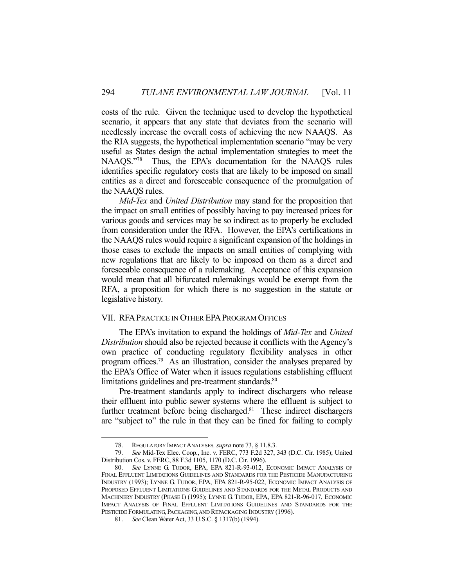costs of the rule. Given the technique used to develop the hypothetical scenario, it appears that any state that deviates from the scenario will needlessly increase the overall costs of achieving the new NAAQS. As the RIA suggests, the hypothetical implementation scenario "may be very useful as States design the actual implementation strategies to meet the NAAQS."78 Thus, the EPA's documentation for the NAAQS rules identifies specific regulatory costs that are likely to be imposed on small entities as a direct and foreseeable consequence of the promulgation of the NAAQS rules.

*Mid-Tex* and *United Distribution* may stand for the proposition that the impact on small entities of possibly having to pay increased prices for various goods and services may be so indirect as to properly be excluded from consideration under the RFA. However, the EPA's certifications in the NAAQS rules would require a significant expansion of the holdings in those cases to exclude the impacts on small entities of complying with new regulations that are likely to be imposed on them as a direct and foreseeable consequence of a rulemaking. Acceptance of this expansion would mean that all bifurcated rulemakings would be exempt from the RFA, a proposition for which there is no suggestion in the statute or legislative history.

## VII. RFAPRACTICE IN OTHER EPAPROGRAM OFFICES

 The EPA's invitation to expand the holdings of *Mid-Tex* and *United Distribution* should also be rejected because it conflicts with the Agency's own practice of conducting regulatory flexibility analyses in other program offices.<sup>79</sup> As an illustration, consider the analyses prepared by the EPA's Office of Water when it issues regulations establishing effluent limitations guidelines and pre-treatment standards.<sup>80</sup>

 Pre-treatment standards apply to indirect dischargers who release their effluent into public sewer systems where the effluent is subject to further treatment before being discharged.<sup>81</sup> These indirect dischargers are "subject to" the rule in that they can be fined for failing to comply

 <sup>78.</sup> REGULATORY IMPACT ANALYSES*, supra* note 73, § 11.8.3.

 <sup>79.</sup> *See* Mid-Tex Elec. Coop., Inc. v. FERC, 773 F.2d 327, 343 (D.C. Cir. 1985); United Distribution Cos. v. FERC, 88 F.3d 1105, 1170 (D.C. Cir. 1996).

 <sup>80.</sup> *See* LYNNE G. TUDOR, EPA, EPA 821-R-93-012, ECONOMIC IMPACT ANALYSIS OF FINAL EFFLUENT LIMITATIONS GUIDELINES AND STANDARDS FOR THE PESTICIDE MANUFACTURING INDUSTRY (1993); LYNNE G. TUDOR, EPA, EPA 821-R-95-022, ECONOMIC IMPACT ANALYSIS OF PROPOSED EFFLUENT LIMITATIONS GUIDELINES AND STANDARDS FOR THE METAL PRODUCTS AND MACHINERY INDUSTRY (PHASE I) (1995); LYNNE G. TUDOR, EPA, EPA 821-R-96-017, ECONOMIC IMPACT ANALYSIS OF FINAL EFFLUENT LIMITATIONS GUIDELINES AND STANDARDS FOR THE PESTICIDE FORMULATING, PACKAGING, AND REPACKAGING INDUSTRY (1996).

 <sup>81.</sup> *See* Clean Water Act, 33 U.S.C. § 1317(b) (1994).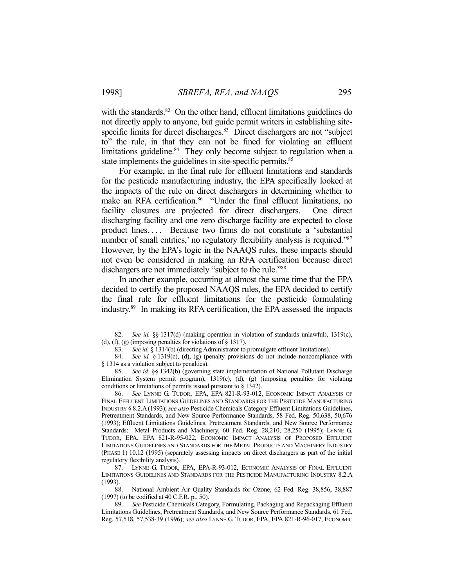with the standards. $82$  On the other hand, effluent limitations guidelines do not directly apply to anyone, but guide permit writers in establishing sitespecific limits for direct discharges.<sup>83</sup> Direct dischargers are not "subject" to" the rule, in that they can not be fined for violating an effluent limitations guideline.<sup>84</sup> They only become subject to regulation when a state implements the guidelines in site-specific permits.<sup>85</sup>

 For example, in the final rule for effluent limitations and standards for the pesticide manufacturing industry, the EPA specifically looked at the impacts of the rule on direct dischargers in determining whether to make an RFA certification.<sup>86</sup> "Under the final effluent limitations, no facility closures are projected for direct dischargers. One direct discharging facility and one zero discharge facility are expected to close product lines. . . . Because two firms do not constitute a 'substantial number of small entities,' no regulatory flexibility analysis is required."<sup>87</sup> However, by the EPA's logic in the NAAQS rules, these impacts should not even be considered in making an RFA certification because direct dischargers are not immediately "subject to the rule."88

 In another example, occurring at almost the same time that the EPA decided to certify the proposed NAAQS rules, the EPA decided to certify the final rule for effluent limitations for the pesticide formulating industry.89 In making its RFA certification, the EPA assessed the impacts

 <sup>82.</sup> *See id.* §§ 1317(d) (making operation in violation of standards unlawful), 1319(c), (d), (f), (g) (imposing penalties for violations of  $\S$  1317).

 <sup>83.</sup> *See id.* § 1314(b) (directing Administrator to promulgate effluent limitations).

 <sup>84.</sup> *See id.* § 1319(c), (d), (g) (penalty provisions do not include noncompliance with § 1314 as a violation subject to penalties).

 <sup>85.</sup> *See id.* §§ 1342(b) (governing state implementation of National Pollutant Discharge Elimination System permit program),  $1319(c)$ ,  $(d)$ ,  $(g)$  (imposing penalties for violating conditions or limitations of permits issued pursuant to § 1342).

 <sup>86.</sup> *See* LYNNE G. TUDOR, EPA, EPA 821-R-93-012, ECONOMIC IMPACT ANALYSIS OF FINAL EFFLUENT LIMITATIONS GUIDELINES AND STANDARDS FOR THE PESTICIDE MANUFACTURING INDUSTRY § 8.2.A(1993); *see also* Pesticide Chemicals Category Effluent Limitations Guidelines, Pretreatment Standards, and New Source Performance Standards, 58 Fed. Reg. 50,638, 50,676 (1993); Effluent Limitations Guidelines, Pretreatment Standards, and New Source Performance Standards: Metal Products and Machinery, 60 Fed. Reg. 28,210, 28,250 (1995); LYNNE G. TUDOR, EPA, EPA 821-R-95-022, ECONOMIC IMPACT ANALYSIS OF PROPOSED EFFLUENT LIMITATIONS GUIDELINES AND STANDARDS FOR THE METAL PRODUCTS AND MACHINERY INDUSTRY (PHASE 1) 10.12 (1995) (separately assessing impacts on direct dischargers as part of the initial regulatory flexibility analysis).

 <sup>87.</sup> LYNNE G. TUDOR, EPA, EPA-R-93-012, ECONOMIC ANALYSIS OF FINAL EFFLUENT LIMITATIONS GUIDELINES AND STANDARDS FOR THE PESTICIDE MANUFACTURING INDUSTRY 8.2.A (1993).

 <sup>88.</sup> National Ambient Air Quality Standards for Ozone, 62 Fed. Reg. 38,856, 38,887 (1997) (to be codified at 40 C.F.R. pt. 50).

 <sup>89.</sup> *See* Pesticide Chemicals Category, Formulating, Packaging and Repackaging Effluent Limitations Guidelines, Pretreatment Standards, and New Source Performance Standards, 61 Fed. Reg. 57,518, 57,538-39 (1996); *see also* LYNNE G. TUDOR, EPA, EPA 821-R-96-017, ECONOMIC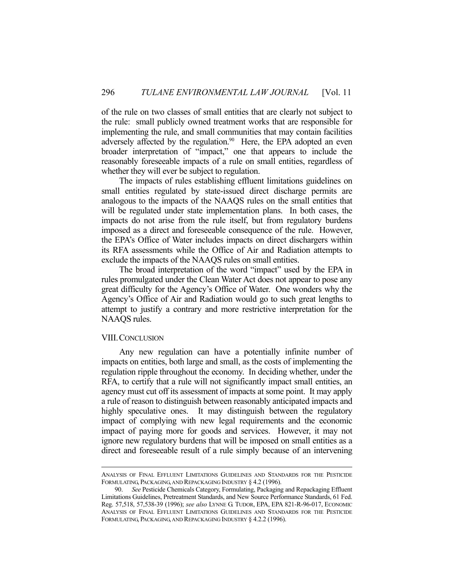of the rule on two classes of small entities that are clearly not subject to the rule: small publicly owned treatment works that are responsible for implementing the rule, and small communities that may contain facilities adversely affected by the regulation.<sup>90</sup> Here, the EPA adopted an even broader interpretation of "impact," one that appears to include the reasonably foreseeable impacts of a rule on small entities, regardless of whether they will ever be subject to regulation.

 The impacts of rules establishing effluent limitations guidelines on small entities regulated by state-issued direct discharge permits are analogous to the impacts of the NAAQS rules on the small entities that will be regulated under state implementation plans. In both cases, the impacts do not arise from the rule itself, but from regulatory burdens imposed as a direct and foreseeable consequence of the rule. However, the EPA's Office of Water includes impacts on direct dischargers within its RFA assessments while the Office of Air and Radiation attempts to exclude the impacts of the NAAQS rules on small entities.

 The broad interpretation of the word "impact" used by the EPA in rules promulgated under the Clean Water Act does not appear to pose any great difficulty for the Agency's Office of Water. One wonders why the Agency's Office of Air and Radiation would go to such great lengths to attempt to justify a contrary and more restrictive interpretation for the NAAQS rules.

#### VIII. CONCLUSION

 Any new regulation can have a potentially infinite number of impacts on entities, both large and small, as the costs of implementing the regulation ripple throughout the economy. In deciding whether, under the RFA, to certify that a rule will not significantly impact small entities, an agency must cut off its assessment of impacts at some point. It may apply a rule of reason to distinguish between reasonably anticipated impacts and highly speculative ones. It may distinguish between the regulatory impact of complying with new legal requirements and the economic impact of paying more for goods and services. However, it may not ignore new regulatory burdens that will be imposed on small entities as a direct and foreseeable result of a rule simply because of an intervening

ANALYSIS OF FINAL EFFLUENT LIMITATIONS GUIDELINES AND STANDARDS FOR THE PESTICIDE FORMULATING, PACKAGING, AND REPACKAGING INDUSTRY § 4.2 (1996).

 <sup>90.</sup> *See* Pesticide Chemicals Category, Formulating, Packaging and Repackaging Effluent Limitations Guidelines, Pretreatment Standards, and New Source Performance Standards, 61 Fed. Reg. 57,518, 57,538-39 (1996); *see also* LYNNE G. TUDOR, EPA, EPA 821-R-96-017, ECONOMIC ANALYSIS OF FINAL EFFLUENT LIMITATIONS GUIDELINES AND STANDARDS FOR THE PESTICIDE FORMULATING, PACKAGING, AND REPACKAGING INDUSTRY § 4.2.2 (1996).